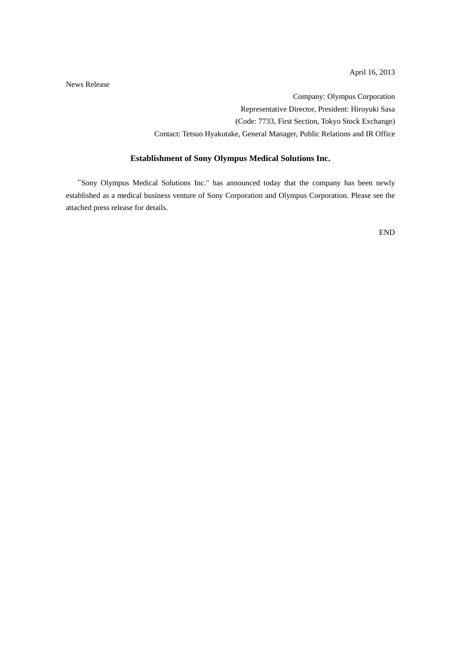News Release

Company: Olympus Corporation Representative Director, President: Hiroyuki Sasa (Code: 7733, First Section, Tokyo Stock Exchange) Contact: Tetsuo Hyakutake, General Manager, Public Relations and IR Office

#### **Establishment of Sony Olympus Medical Solutions Inc.**

"Sony Olympus Medical Solutions Inc." has announced today that the company has been newly established as a medical business venture of Sony Corporation and Olympus Corporation. Please see the attached press release for details.

END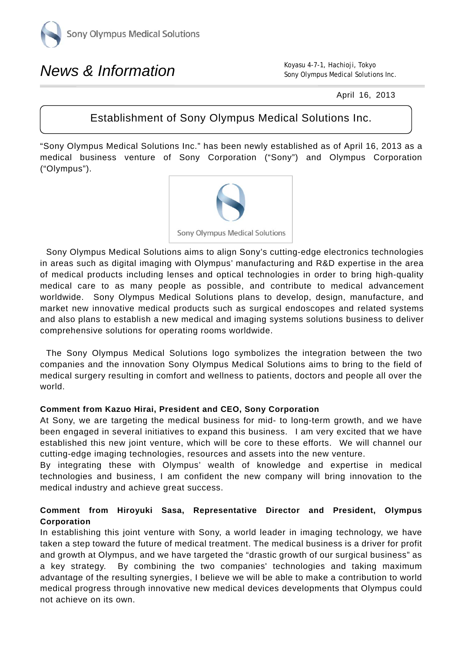

# **News & Information**

Sony Olympus Medical Solutions Inc.

#### April 16, 2013

# Establishment of Sony Olympus Medical Solutions Inc.

"Sony Olympus Medical Solutions Inc." has been newly established as of April 16, 2013 as a medical business venture of Sony Corporation ("Sony") and Olympus Corporation ("Olympus").



Sony Olympus Medical Solutions aims to align Sony's cutting-edge electronics technologies in areas such as digital imaging with Olympus' manufacturing and R&D expertise in the area of medical products including lenses and optical technologies in order to bring high-quality medical care to as many people as possible, and contribute to medical advancement worldwide. Sony Olympus Medical Solutions plans to develop, design, manufacture, and market new innovative medical products such as surgical endoscopes and related systems and also plans to establish a new medical and imaging systems solutions business to deliver comprehensive solutions for operating rooms worldwide.

The Sony Olympus Medical Solutions logo symbolizes the integration between the two companies and the innovation Sony Olympus Medical Solutions aims to bring to the field of medical surgery resulting in comfort and wellness to patients, doctors and people all over the world.

### **Comment from Kazuo Hirai, President and CEO, Sony Corporation**

At Sony, we are targeting the medical business for mid- to long-term growth, and we have been engaged in several initiatives to expand this business. I am very excited that we have established this new joint venture, which will be core to these efforts. We will channel our cutting-edge imaging technologies, resources and assets into the new venture.

By integrating these with Olympus' wealth of knowledge and expertise in medical technologies and business, I am confident the new company will bring innovation to the medical industry and achieve great success.

## **Comment from Hiroyuki Sasa, Representative Director and President, Olympus Corporation**

In establishing this joint venture with Sony, a world leader in imaging technology, we have taken a step toward the future of medical treatment. The medical business is a driver for profit and growth at Olympus, and we have targeted the "drastic growth of our surgical business" as a key strategy. By combining the two companies' technologies and taking maximum advantage of the resulting synergies, I believe we will be able to make a contribution to world medical progress through innovative new medical devices developments that Olympus could not achieve on its own.